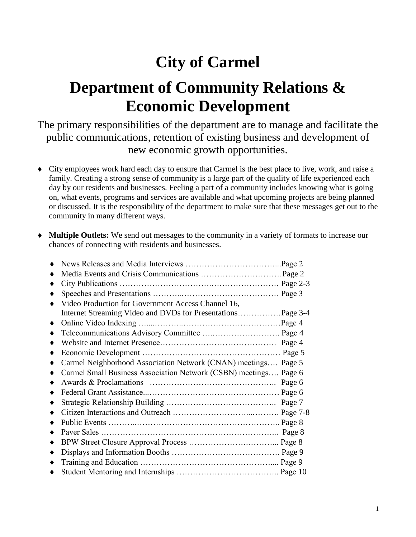# **City of Carmel**

# **Department of Community Relations & Economic Development**

The primary responsibilities of the department are to manage and facilitate the public communications, retention of existing business and development of new economic growth opportunities.

- City employees work hard each day to ensure that Carmel is the best place to live, work, and raise a family. Creating a strong sense of community is a large part of the quality of life experienced each day by our residents and businesses. Feeling a part of a community includes knowing what is going on, what events, programs and services are available and what upcoming projects are being planned or discussed. It is the responsibility of the department to make sure that these messages get out to the community in many different ways.
- **Multiple Outlets:** We send out messages to the community in a variety of formats to increase our chances of connecting with residents and businesses.

| Video Production for Government Access Channel 16,               |  |
|------------------------------------------------------------------|--|
|                                                                  |  |
|                                                                  |  |
|                                                                  |  |
|                                                                  |  |
|                                                                  |  |
| Carmel Neighborhood Association Network (CNAN) meetings Page 5   |  |
| Carmel Small Business Association Network (CSBN) meetings Page 6 |  |
|                                                                  |  |
|                                                                  |  |
|                                                                  |  |
|                                                                  |  |
|                                                                  |  |
|                                                                  |  |
|                                                                  |  |
|                                                                  |  |
|                                                                  |  |
|                                                                  |  |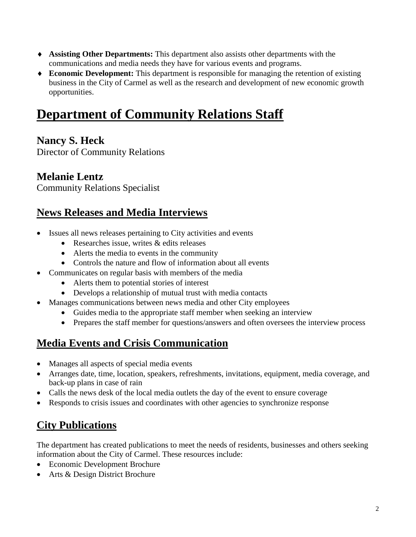- **Assisting Other Departments:** This department also assists other departments with the communications and media needs they have for various events and programs.
- **Economic Development:** This department is responsible for managing the retention of existing business in the City of Carmel as well as the research and development of new economic growth opportunities.

# **Department of Community Relations Staff**

#### **Nancy S. Heck**

Director of Community Relations

#### **Melanie Lentz**

Community Relations Specialist

### **News Releases and Media Interviews**

- Issues all news releases pertaining to City activities and events
	- Researches issue, writes & edits releases
	- Alerts the media to events in the community
	- Controls the nature and flow of information about all events
- Communicates on regular basis with members of the media
	- Alerts them to potential stories of interest
	- Develops a relationship of mutual trust with media contacts
- Manages communications between news media and other City employees
	- Guides media to the appropriate staff member when seeking an interview
	- Prepares the staff member for questions/answers and often oversees the interview process

## **Media Events and Crisis Communication**

- Manages all aspects of special media events
- Arranges date, time, location, speakers, refreshments, invitations, equipment, media coverage, and back-up plans in case of rain
- Calls the news desk of the local media outlets the day of the event to ensure coverage
- Responds to crisis issues and coordinates with other agencies to synchronize response

## **City Publications**

The department has created publications to meet the needs of residents, businesses and others seeking information about the City of Carmel. These resources include:

- Economic Development Brochure
- Arts & Design District Brochure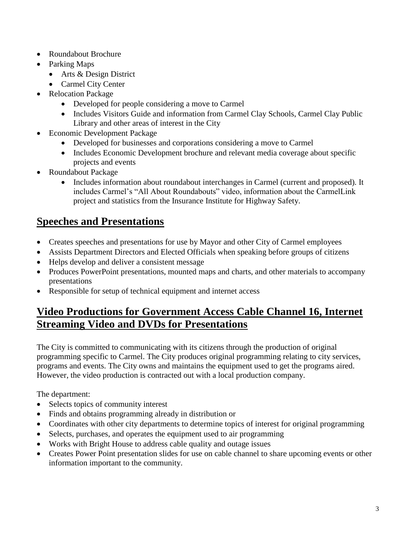- Roundabout Brochure
- Parking Maps
	- Arts & Design District
	- Carmel City Center
- Relocation Package
	- Developed for people considering a move to Carmel
	- Includes Visitors Guide and information from Carmel Clay Schools, Carmel Clay Public Library and other areas of interest in the City
- Economic Development Package
	- Developed for businesses and corporations considering a move to Carmel
	- Includes Economic Development brochure and relevant media coverage about specific projects and events
- Roundabout Package
	- Includes information about roundabout interchanges in Carmel (current and proposed). It includes Carmel's "All About Roundabouts" video, information about the CarmelLink project and statistics from the Insurance Institute for Highway Safety.

#### **Speeches and Presentations**

- Creates speeches and presentations for use by Mayor and other City of Carmel employees
- Assists Department Directors and Elected Officials when speaking before groups of citizens
- Helps develop and deliver a consistent message
- Produces PowerPoint presentations, mounted maps and charts, and other materials to accompany presentations
- Responsible for setup of technical equipment and internet access

#### **Video Productions for Government Access Cable Channel 16, Internet Streaming Video and DVDs for Presentations**

The City is committed to communicating with its citizens through the production of original programming specific to Carmel. The City produces original programming relating to city services, programs and events. The City owns and maintains the equipment used to get the programs aired. However, the video production is contracted out with a local production company.

- Selects topics of community interest
- Finds and obtains programming already in distribution or
- Coordinates with other city departments to determine topics of interest for original programming
- Selects, purchases, and operates the equipment used to air programming
- Works with Bright House to address cable quality and outage issues
- Creates Power Point presentation slides for use on cable channel to share upcoming events or other information important to the community.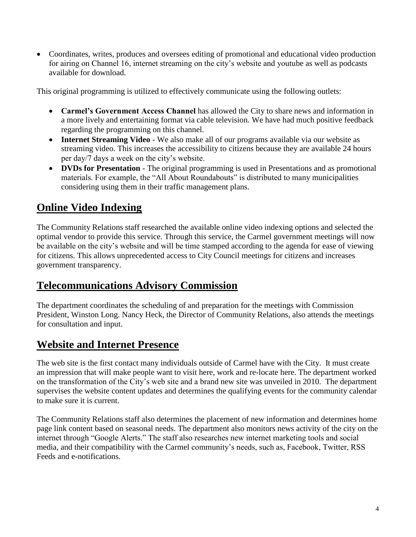Coordinates, writes, produces and oversees editing of promotional and educational video production for airing on Channel 16, internet streaming on the city's website and youtube as well as podcasts available for download.

This original programming is utilized to effectively communicate using the following outlets:

- **Carmel's Government Access Channel** has allowed the City to share news and information in a more lively and entertaining format via cable television. We have had much positive feedback regarding the programming on this channel.
- **Internet Streaming Video** We also make all of our programs available via our website as streaming video. This increases the accessibility to citizens because they are available 24 hours per day/7 days a week on the city's website.
- **DVDs for Presentation** The original programming is used in Presentations and as promotional materials. For example, the "All About Roundabouts" is distributed to many municipalities considering using them in their traffic management plans.

#### **Online Video Indexing**

The Community Relations staff researched the available online video indexing options and selected the optimal vendor to provide this service. Through this service, the Carmel government meetings will now be available on the city's website and will be time stamped according to the agenda for ease of viewing for citizens. This allows unprecedented access to City Council meetings for citizens and increases government transparency.

#### **Telecommunications Advisory Commission**

The department coordinates the scheduling of and preparation for the meetings with Commission President, Winston Long. Nancy Heck, the Director of Community Relations, also attends the meetings for consultation and input.

#### **Website and Internet Presence**

The web site is the first contact many individuals outside of Carmel have with the City. It must create an impression that will make people want to visit here, work and re-locate here. The department worked on the transformation of the City's web site and a brand new site was unveiled in 2010. The department supervises the website content updates and determines the qualifying events for the community calendar to make sure it is current.

The Community Relations staff also determines the placement of new information and determines home page link content based on seasonal needs. The department also monitors news activity of the city on the internet through "Google Alerts." The staff also researches new internet marketing tools and social media, and their compatibility with the Carmel community's needs, such as, Facebook, Twitter, RSS Feeds and e-notifications.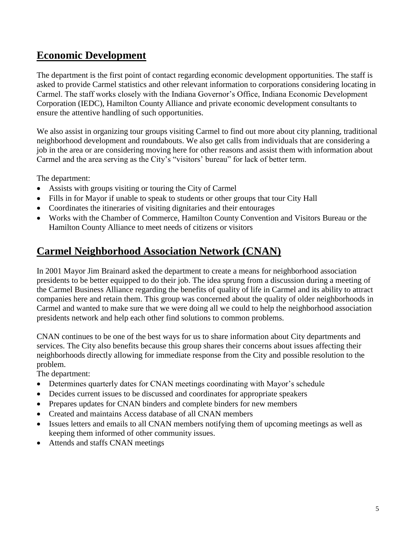#### **Economic Development**

The department is the first point of contact regarding economic development opportunities. The staff is asked to provide Carmel statistics and other relevant information to corporations considering locating in Carmel. The staff works closely with the Indiana Governor's Office, Indiana Economic Development Corporation (IEDC), Hamilton County Alliance and private economic development consultants to ensure the attentive handling of such opportunities.

We also assist in organizing tour groups visiting Carmel to find out more about city planning, traditional neighborhood development and roundabouts. We also get calls from individuals that are considering a job in the area or are considering moving here for other reasons and assist them with information about Carmel and the area serving as the City's "visitors' bureau" for lack of better term.

The department:

- Assists with groups visiting or touring the City of Carmel
- Fills in for Mayor if unable to speak to students or other groups that tour City Hall
- Coordinates the itineraries of visiting dignitaries and their entourages
- Works with the Chamber of Commerce, Hamilton County Convention and Visitors Bureau or the Hamilton County Alliance to meet needs of citizens or visitors

#### **Carmel Neighborhood Association Network (CNAN)**

In 2001 Mayor Jim Brainard asked the department to create a means for neighborhood association presidents to be better equipped to do their job. The idea sprung from a discussion during a meeting of the Carmel Business Alliance regarding the benefits of quality of life in Carmel and its ability to attract companies here and retain them. This group was concerned about the quality of older neighborhoods in Carmel and wanted to make sure that we were doing all we could to help the neighborhood association presidents network and help each other find solutions to common problems.

CNAN continues to be one of the best ways for us to share information about City departments and services. The City also benefits because this group shares their concerns about issues affecting their neighborhoods directly allowing for immediate response from the City and possible resolution to the problem.

- Determines quarterly dates for CNAN meetings coordinating with Mayor's schedule
- Decides current issues to be discussed and coordinates for appropriate speakers
- Prepares updates for CNAN binders and complete binders for new members
- Created and maintains Access database of all CNAN members
- Issues letters and emails to all CNAN members notifying them of upcoming meetings as well as keeping them informed of other community issues.
- Attends and staffs CNAN meetings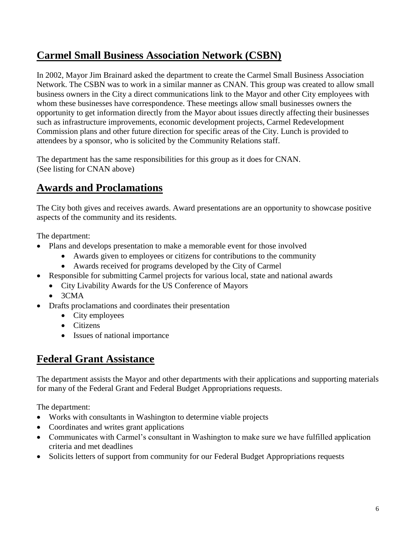## **Carmel Small Business Association Network (CSBN)**

In 2002, Mayor Jim Brainard asked the department to create the Carmel Small Business Association Network. The CSBN was to work in a similar manner as CNAN. This group was created to allow small business owners in the City a direct communications link to the Mayor and other City employees with whom these businesses have correspondence. These meetings allow small businesses owners the opportunity to get information directly from the Mayor about issues directly affecting their businesses such as infrastructure improvements, economic development projects, Carmel Redevelopment Commission plans and other future direction for specific areas of the City. Lunch is provided to attendees by a sponsor, who is solicited by the Community Relations staff.

The department has the same responsibilities for this group as it does for CNAN. (See listing for CNAN above)

## **Awards and Proclamations**

The City both gives and receives awards. Award presentations are an opportunity to showcase positive aspects of the community and its residents.

The department:

- Plans and develops presentation to make a memorable event for those involved
	- Awards given to employees or citizens for contributions to the community
		- Awards received for programs developed by the City of Carmel
- Responsible for submitting Carmel projects for various local, state and national awards
	- City Livability Awards for the US Conference of Mayors
	- $•$  3CMA
- Drafts proclamations and coordinates their presentation
	- City employees
	- Citizens
	- Issues of national importance

#### **Federal Grant Assistance**

The department assists the Mayor and other departments with their applications and supporting materials for many of the Federal Grant and Federal Budget Appropriations requests.

- Works with consultants in Washington to determine viable projects
- Coordinates and writes grant applications
- Communicates with Carmel's consultant in Washington to make sure we have fulfilled application criteria and met deadlines
- Solicits letters of support from community for our Federal Budget Appropriations requests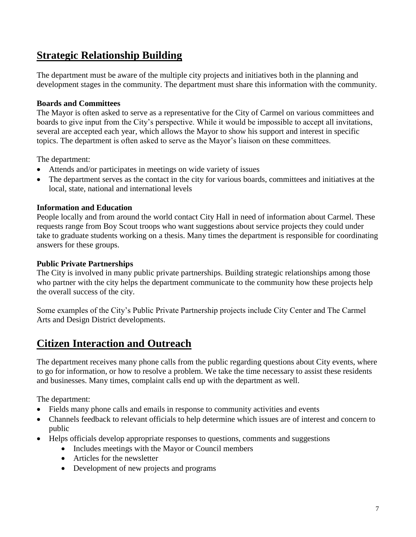### **Strategic Relationship Building**

The department must be aware of the multiple city projects and initiatives both in the planning and development stages in the community. The department must share this information with the community.

#### **Boards and Committees**

The Mayor is often asked to serve as a representative for the City of Carmel on various committees and boards to give input from the City's perspective. While it would be impossible to accept all invitations, several are accepted each year, which allows the Mayor to show his support and interest in specific topics. The department is often asked to serve as the Mayor's liaison on these committees.

The department:

- Attends and/or participates in meetings on wide variety of issues
- The department serves as the contact in the city for various boards, committees and initiatives at the local, state, national and international levels

#### **Information and Education**

People locally and from around the world contact City Hall in need of information about Carmel. These requests range from Boy Scout troops who want suggestions about service projects they could under take to graduate students working on a thesis. Many times the department is responsible for coordinating answers for these groups.

#### **Public Private Partnerships**

The City is involved in many public private partnerships. Building strategic relationships among those who partner with the city helps the department communicate to the community how these projects help the overall success of the city.

Some examples of the City's Public Private Partnership projects include City Center and The Carmel Arts and Design District developments.

#### **Citizen Interaction and Outreach**

The department receives many phone calls from the public regarding questions about City events, where to go for information, or how to resolve a problem. We take the time necessary to assist these residents and businesses. Many times, complaint calls end up with the department as well.

- Fields many phone calls and emails in response to community activities and events
- Channels feedback to relevant officials to help determine which issues are of interest and concern to public
- Helps officials develop appropriate responses to questions, comments and suggestions
	- Includes meetings with the Mayor or Council members
	- Articles for the newsletter
	- Development of new projects and programs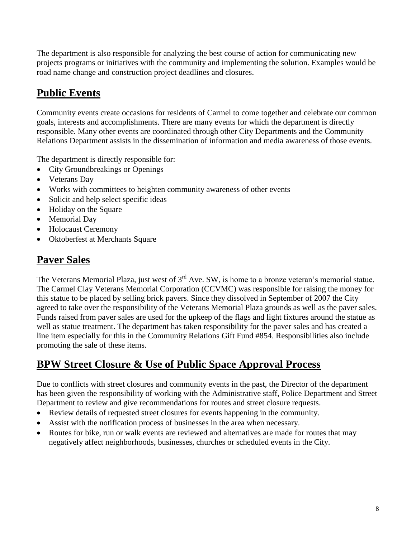The department is also responsible for analyzing the best course of action for communicating new projects programs or initiatives with the community and implementing the solution. Examples would be road name change and construction project deadlines and closures.

## **Public Events**

Community events create occasions for residents of Carmel to come together and celebrate our common goals, interests and accomplishments. There are many events for which the department is directly responsible. Many other events are coordinated through other City Departments and the Community Relations Department assists in the dissemination of information and media awareness of those events.

The department is directly responsible for:

- City Groundbreakings or Openings
- Veterans Day
- Works with committees to heighten community awareness of other events
- Solicit and help select specific ideas
- Holiday on the Square
- Memorial Day
- Holocaust Ceremony
- Oktoberfest at Merchants Square

## **Paver Sales**

The Veterans Memorial Plaza, just west of  $3<sup>rd</sup>$  Ave. SW, is home to a bronze veteran's memorial statue. The Carmel Clay Veterans Memorial Corporation (CCVMC) was responsible for raising the money for this statue to be placed by selling brick pavers. Since they dissolved in September of 2007 the City agreed to take over the responsibility of the Veterans Memorial Plaza grounds as well as the paver sales. Funds raised from paver sales are used for the upkeep of the flags and light fixtures around the statue as well as statue treatment. The department has taken responsibility for the paver sales and has created a line item especially for this in the Community Relations Gift Fund #854. Responsibilities also include promoting the sale of these items.

## **BPW Street Closure & Use of Public Space Approval Process**

Due to conflicts with street closures and community events in the past, the Director of the department has been given the responsibility of working with the Administrative staff, Police Department and Street Department to review and give recommendations for routes and street closure requests.

- Review details of requested street closures for events happening in the community.
- Assist with the notification process of businesses in the area when necessary.
- Routes for bike, run or walk events are reviewed and alternatives are made for routes that may negatively affect neighborhoods, businesses, churches or scheduled events in the City.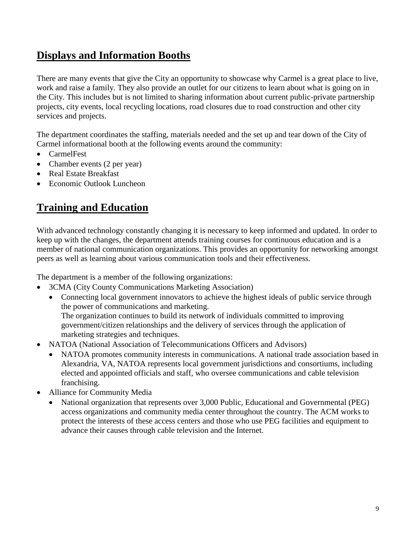### **Displays and Information Booths**

There are many events that give the City an opportunity to showcase why Carmel is a great place to live, work and raise a family. They also provide an outlet for our citizens to learn about what is going on in the City. This includes but is not limited to sharing information about current public-private partnership projects, city events, local recycling locations, road closures due to road construction and other city services and projects.

The department coordinates the staffing, materials needed and the set up and tear down of the City of Carmel informational booth at the following events around the community:

- CarmelFest
- Chamber events (2 per year)
- Real Estate Breakfast
- Economic Outlook Luncheon

### **Training and Education**

With advanced technology constantly changing it is necessary to keep informed and updated. In order to keep up with the changes, the department attends training courses for continuous education and is a member of national communication organizations. This provides an opportunity for networking amongst peers as well as learning about various communication tools and their effectiveness.

The department is a member of the following organizations:

- 3CMA (City County Communications Marketing Association)
	- Connecting local government innovators to achieve the highest ideals of public service through the power of communications and marketing. The organization continues to build its network of individuals committed to improving government/citizen relationships and the delivery of services through the application of marketing strategies and techniques.
- NATOA (National Association of Telecommunications Officers and Advisors)
	- NATOA promotes community interests in communications. A national trade association based in Alexandria, VA, NATOA represents local government jurisdictions and consortiums, including elected and appointed officials and staff, who oversee communications and cable television franchising.
- Alliance for Community Media
	- National organization that represents over 3,000 Public, Educational and Governmental (PEG) access organizations and community media center throughout the country. The ACM works to protect the interests of these access centers and those who use PEG facilities and equipment to advance their causes through cable television and the Internet.